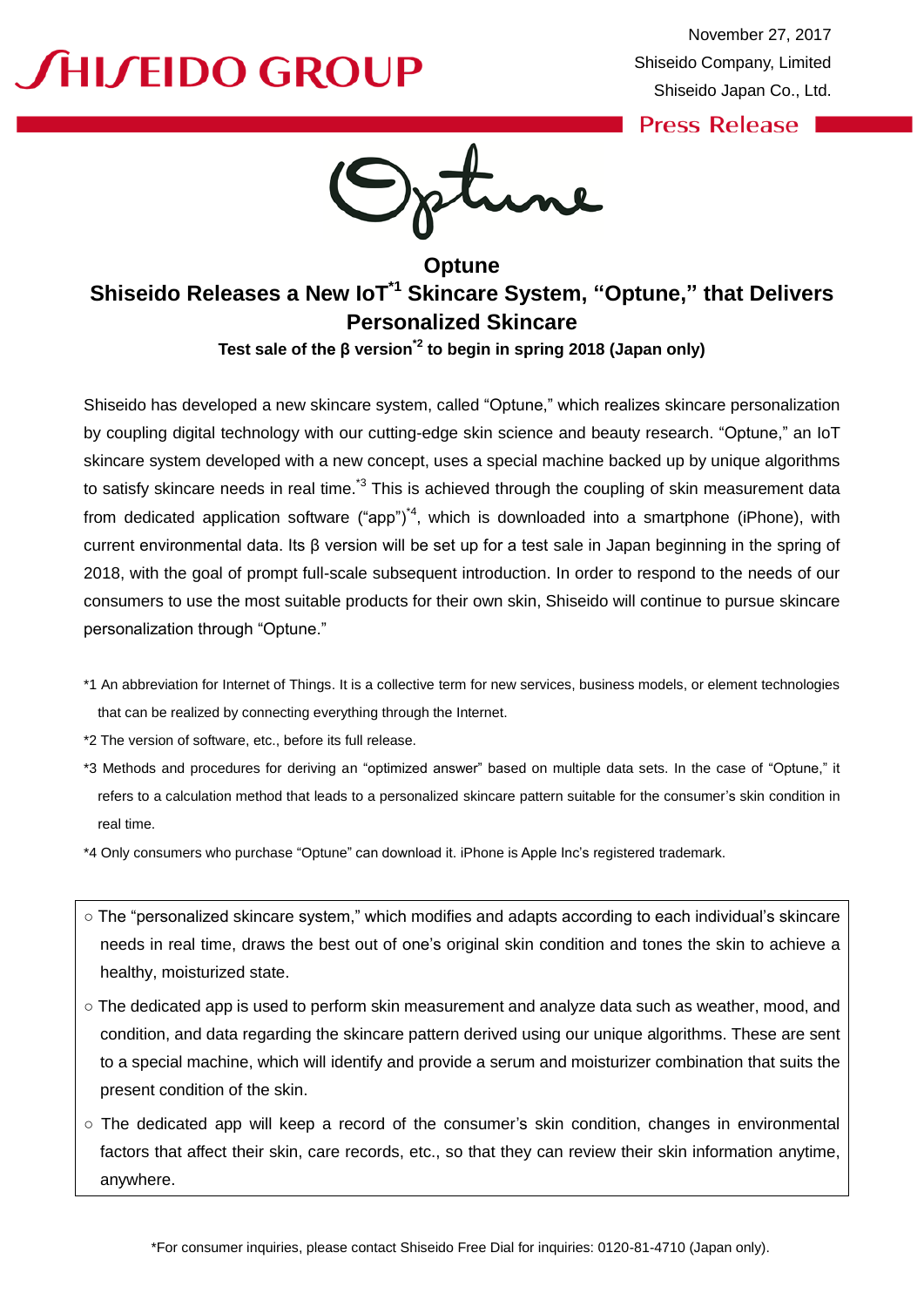# **SHISEIDO GROUP**

.

**Press Release** 

**Optune Shiseido Releases a New IoT\*1 Skincare System, "Optune," that Delivers Personalized Skincare**

**Test sale of the β version\*2 to begin in spring 2018 (Japan only)**

Shiseido has developed a new skincare system, called "Optune," which realizes skincare personalization by coupling digital technology with our cutting-edge skin science and beauty research. "Optune," an IoT skincare system developed with a new concept, uses a special machine backed up by unique algorithms to satisfy skincare needs in real time.<sup>\*3</sup> This is achieved through the coupling of skin measurement data from dedicated application software ("app")<sup>\*4</sup>, which is downloaded into a smartphone (iPhone), with current environmental data. Its β version will be set up for a test sale in Japan beginning in the spring of 2018, with the goal of prompt full-scale subsequent introduction. In order to respond to the needs of our consumers to use the most suitable products for their own skin, Shiseido will continue to pursue skincare personalization through "Optune."

- \*1 An abbreviation for Internet of Things. It is a collective term for new services, business models, or element technologies that can be realized by connecting everything through the Internet.
- \*2 The version of software, etc., before its full release.
- \*3 Methods and procedures for deriving an "optimized answer" based on multiple data sets. In the case of "Optune," it refers to a calculation method that leads to a personalized skincare pattern suitable for the consumer's skin condition in real time.
- \*4 Only consumers who purchase "Optune" can download it. iPhone is Apple Inc's registered trademark.
- The "personalized skincare system," which modifies and adapts according to each individual's skincare needs in real time, draws the best out of one's original skin condition and tones the skin to achieve a healthy, moisturized state.
- o The dedicated app is used to perform skin measurement and analyze data such as weather, mood, and condition, and data regarding the skincare pattern derived using our unique algorithms. These are sent to a special machine, which will identify and provide a serum and moisturizer combination that suits the present condition of the skin.
- The dedicated app will keep a record of the consumer's skin condition, changes in environmental factors that affect their skin, care records, etc., so that they can review their skin information anytime, anywhere.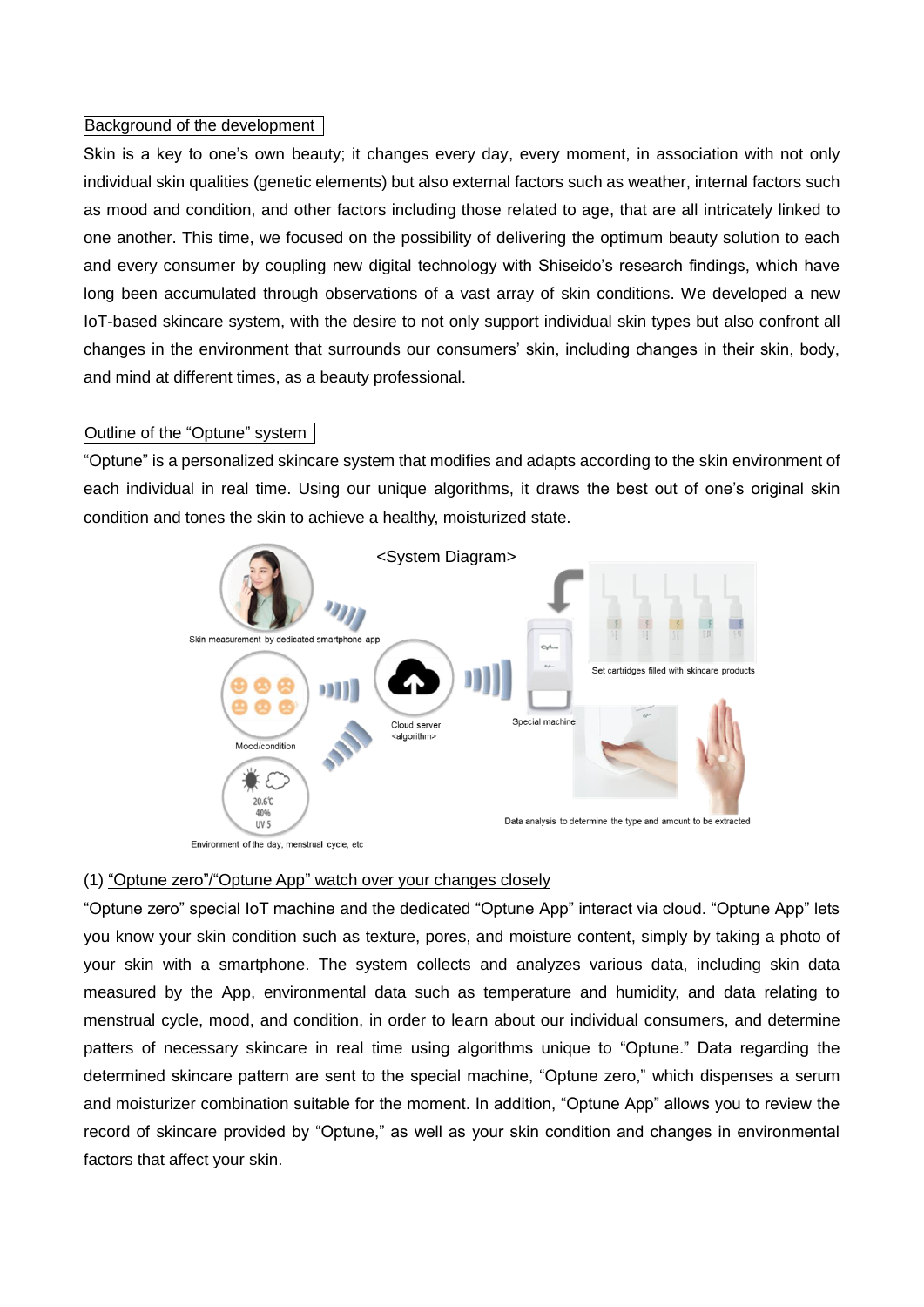### Background of the development

Skin is a key to one's own beauty; it changes every day, every moment, in association with not only individual skin qualities (genetic elements) but also external factors such as weather, internal factors such as mood and condition, and other factors including those related to age, that are all intricately linked to one another. This time, we focused on the possibility of delivering the optimum beauty solution to each and every consumer by coupling new digital technology with Shiseido's research findings, which have long been accumulated through observations of a vast array of skin conditions. We developed a new IoT-based skincare system, with the desire to not only support individual skin types but also confront all changes in the environment that surrounds our consumers' skin, including changes in their skin, body, and mind at different times, as a beauty professional.

## Outline of the "Optune" system

"Optune" is a personalized skincare system that modifies and adapts according to the skin environment of each individual in real time. Using our unique algorithms, it draws the best out of one's original skin condition and tones the skin to achieve a healthy, moisturized state.



Environment of the day, menstrual cycle, etc

### (1) "Optune zero"/"Optune App" watch over your changes closely

"Optune zero" special IoT machine and the dedicated "Optune App" interact via cloud. "Optune App" lets you know your skin condition such as texture, pores, and moisture content, simply by taking a photo of your skin with a smartphone. The system collects and analyzes various data, including skin data measured by the App, environmental data such as temperature and humidity, and data relating to menstrual cycle, mood, and condition, in order to learn about our individual consumers, and determine patters of necessary skincare in real time using algorithms unique to "Optune." Data regarding the determined skincare pattern are sent to the special machine, "Optune zero," which dispenses a serum and moisturizer combination suitable for the moment. In addition, "Optune App" allows you to review the record of skincare provided by "Optune," as well as your skin condition and changes in environmental factors that affect your skin.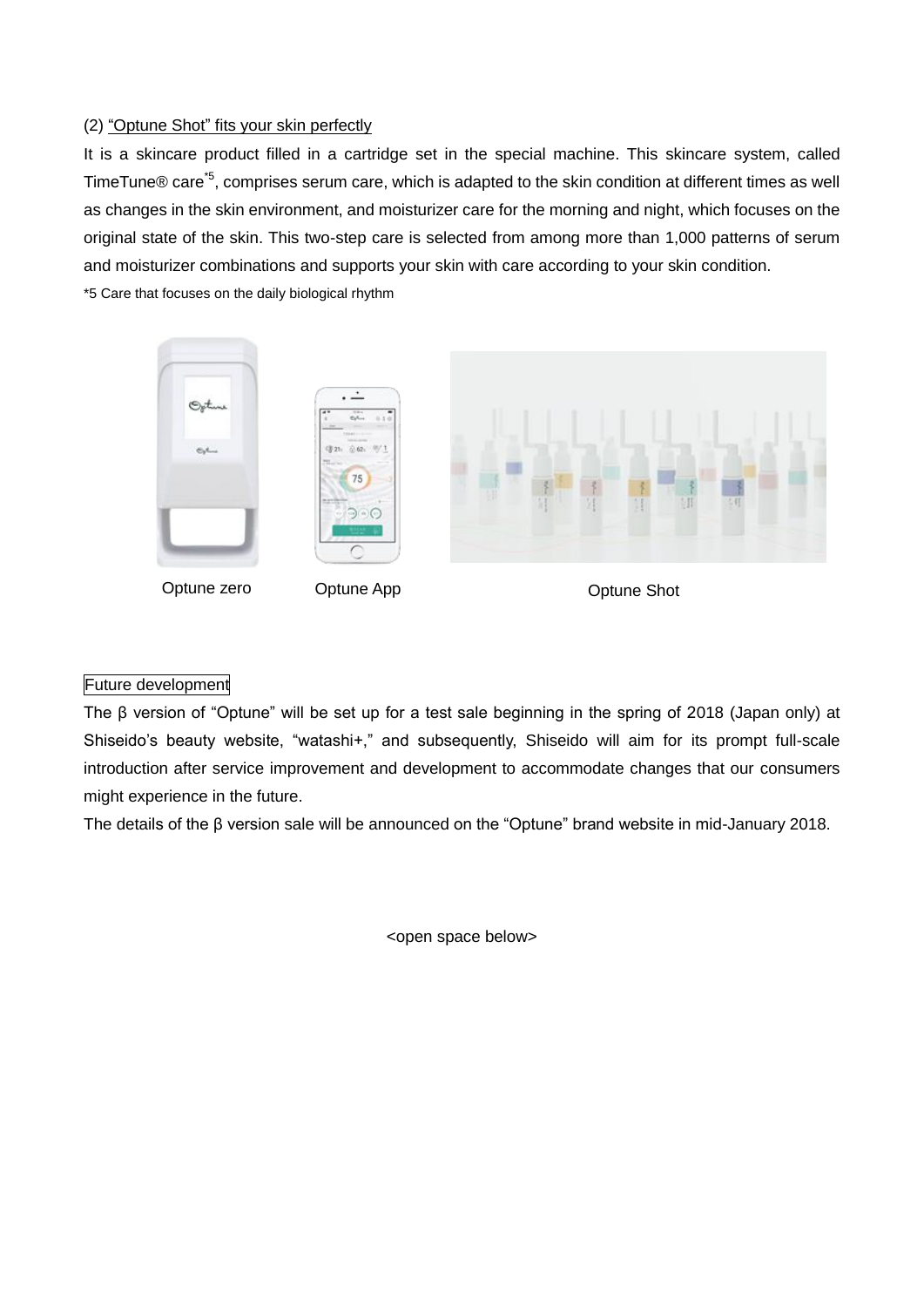## (2) "Optune Shot" fits your skin perfectly

It is a skincare product filled in a cartridge set in the special machine. This skincare system, called TimeTune® care<sup>\*5</sup>, comprises serum care, which is adapted to the skin condition at different times as well as changes in the skin environment, and moisturizer care for the morning and night, which focuses on the original state of the skin. This two-step care is selected from among more than 1,000 patterns of serum and moisturizer combinations and supports your skin with care according to your skin condition. \*5 Care that focuses on the daily biological rhythm

 $\mathbb{S}_{p}$ t,  $75$ <u>බල</u>

Optune zero Cptune App Contune Shot

### Future development

The β version of "Optune" will be set up for a test sale beginning in the spring of 2018 (Japan only) at Shiseido's beauty website, "watashi+," and subsequently, Shiseido will aim for its prompt full-scale introduction after service improvement and development to accommodate changes that our consumers might experience in the future.

The details of the β version sale will be announced on the "Optune" brand website in mid-January 2018.

<open space below>